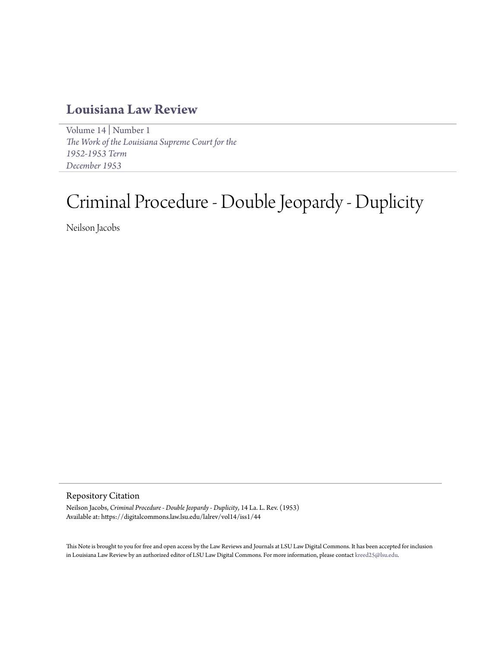## **[Louisiana Law Review](https://digitalcommons.law.lsu.edu/lalrev)**

[Volume 14](https://digitalcommons.law.lsu.edu/lalrev/vol14) | [Number 1](https://digitalcommons.law.lsu.edu/lalrev/vol14/iss1) *[The Work of the Louisiana Supreme Court for the](https://digitalcommons.law.lsu.edu/lalrev/vol14/iss1) [1952-1953 Term](https://digitalcommons.law.lsu.edu/lalrev/vol14/iss1) [December 1953](https://digitalcommons.law.lsu.edu/lalrev/vol14/iss1)*

# Criminal Procedure - Double Jeopardy - Duplicity

Neilson Jacobs

Repository Citation

Neilson Jacobs, *Criminal Procedure - Double Jeopardy - Duplicity*, 14 La. L. Rev. (1953) Available at: https://digitalcommons.law.lsu.edu/lalrev/vol14/iss1/44

This Note is brought to you for free and open access by the Law Reviews and Journals at LSU Law Digital Commons. It has been accepted for inclusion in Louisiana Law Review by an authorized editor of LSU Law Digital Commons. For more information, please contact [kreed25@lsu.edu](mailto:kreed25@lsu.edu).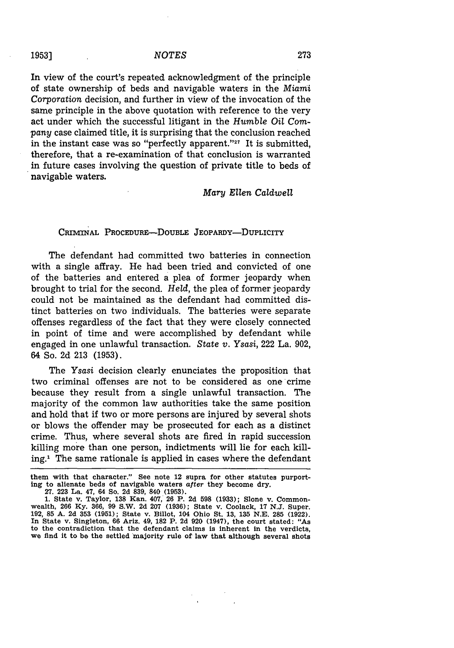In view of the court's repeated acknowledgment of the principle of state ownership of beds and navigable waters in the *Miami Corporation* decision, and further in view of the invocation of the same principle in the above quotation with reference to the very act under which the successful litigant in the *Humble Oil Company* case claimed title, it is surprising that the conclusion reached in the instant case was so "perfectly apparent."<sup>27</sup> It is submitted, therefore, that a re-examination of that conclusion is warranted in future cases involving the question of private title to beds of navigable waters.

#### *Mary Ellen Caldwell*

#### CRIMINAL **PROCEDURE-DOUBLE** JEOPARDY-DUPLICITY

The defendant had committed two batteries in connection with a single affray. He had been tried and convicted of one of the batteries and entered a plea of former jeopardy when brought to trial for the second. *Held,* the plea of former jeopardy could not be maintained as the defendant had committed distinct batteries on two individuals. The batteries were separate offenses regardless of the fact that they were closely connected **in** point of time and were accomplished **by** defendant while engaged in one unlawful transaction. *State v. Ysasi,* 222 La. **902,** 64 So. **2d 213 (1953).**

The Ysasi decision clearly enunciates the proposition that two criminal offenses are not to be considered as one crime because they result from a single unlawful transaction. The majority of the common law authorities take the same position and hold that if two or more persons are injured **by** several shots or blows the offender may be prosecuted for each as a distinct crime. Thus, where several shots are fired in rapid succession killing more than one person, indictments will lie for each killing.1 The same rationale is applied in cases where the defendant

### **1953]**

**them with that character." See note 12 supra for other statutes purporting to alienate beds of navigable waters** after **they become dry.**

**<sup>27. 223</sup> La. 47,** 64 **So. 2d 839, 840 (1953).**

**<sup>1.</sup>** State v. Taylor, **138 Kan.** 407, **26** P. **2d 598 (1933);** Slone v. Common-wealth, **266 Ky. 366, 99** S.W. **2d 207 (1936);** State v. Coolack, **17 N.J.** Super. **192, 85 A. 2d 353 (1951); State** v. Billot, 104 Ohio **St. 13, 135 N.E. 285 (1922). In State** v. Singleton, **66** Ariz. 49, **182** P. **2d 920** (1947), **the** court stated: **"As** to the contradiction that **the** defendant **claims is** Inherent **in** the **verdicts, we** find it to **be the settled** majority rule **of law** that although **several shots**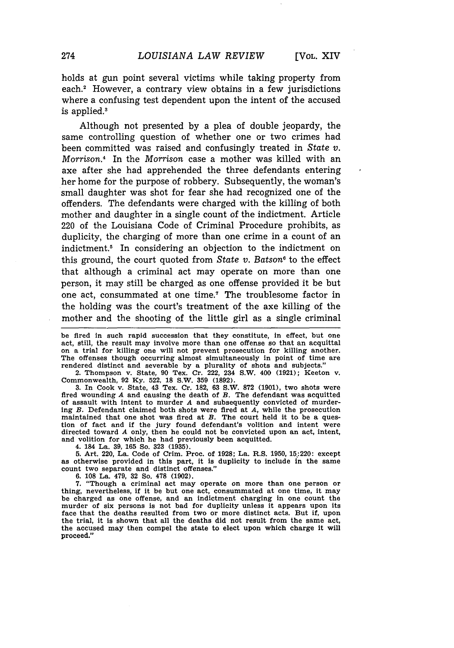holds at gun point several victims while taking property from each.<sup>2</sup> However, a contrary view obtains in a few jurisdictions where a confusing test dependent upon the intent of the accused is applied. $3$ 

Although not presented by a plea of double jeopardy, the same controlling question of whether one or two crimes had been committed was raised and confusingly treated in *State v. Morrison.4* In the Morrison case a mother was killed with an axe after she had apprehended the three defendants entering her home for the purpose of robbery. Subsequently, the woman's small daughter was shot for fear she had recognized one of the offenders. The defendants were charged with the killing of both mother and daughter in a single count of the indictment. Article 220 of the Louisiana Code of Criminal Procedure prohibits, as duplicity, the charging of more than one crime in a count of an indictment.5 In considering an objection to the indictment on this ground, the court quoted from *State v. Batson6* to the effect that although a criminal act may operate on more than one person, it may still be charged as one offense provided it be but one act, consummated at one time.7 The troublesome factor in the holding was the court's treatment of the axe killing of the mother and the shooting of the little girl as a single criminal

be fired in such rapid succession that they constitute, in effect, but one act, still, the result may involve more than one offense so that an acquittal on a trial for killing one will not prevent prosecution for killing another. The offenses though occurring almost simultaneously in point of time are rendered distinct and severable by a plurality of shots and subjects."

2. Thompson v. State, 90 Tex. Cr. 222, 234 S.W. 400 (1921); Keeton v. Commonwealth, 92 Ky. 522, **18** S.W. **359** (1892). 3. In Cook v. State, 43 Tex. Cr. 182, 63 S.W. **872** (1901), two shots were

fired wounding *A* and causing the death of *B.* The defendant was acquitted of assault with intent to murder *A* and subsequently convicted of murder-ing *B.* Defendant claimed both shots were fired at *A,* while the prosecution maintained that one shot was fired at *B.* The court held it to be a question of fact and if the jury found defendant's volition and intent were directed toward *A* only, then he could not be convicted upon an act, intent, and volition for which he had previously been acquitted.

4. **184** La. **39,** 165 So. 323 (1935).

5. Art. 220, La. Code of Crim. Proc. of 1928; La. R.S. 1950, 15,:220: except as otherwise provided in this part, it is duplicity to include in the same count two separate and distinct offenses."

6. 108 La. 479, 32 So. **478** (1902).

7. "Though a criminal act may operate on more than one person or thing, nevertheless, if it be but one act, consummated at one time, it may be charged as one offense, and an indictment charging in one count the murder of six persons is not bad for duplicity unless it appears upon its face that the deaths resulted from two or more distinct acts. But if, upon the trial, it is shown that all the deaths did not result from the same act, the accused may then compel the state to elect upon which charge it will proceed."